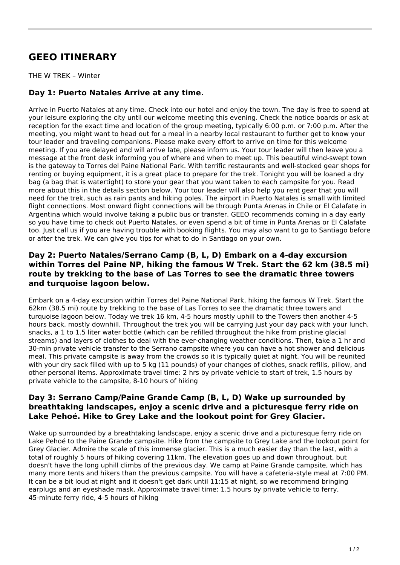# **GEEO ITINERARY**

THE W TREK – Winter

## **Day 1: Puerto Natales Arrive at any time.**

Arrive in Puerto Natales at any time. Check into our hotel and enjoy the town. The day is free to spend at your leisure exploring the city until our welcome meeting this evening. Check the notice boards or ask at reception for the exact time and location of the group meeting, typically 6:00 p.m. or 7:00 p.m. After the meeting, you might want to head out for a meal in a nearby local restaurant to further get to know your tour leader and traveling companions. Please make every effort to arrive on time for this welcome meeting. If you are delayed and will arrive late, please inform us. Your tour leader will then leave you a message at the front desk informing you of where and when to meet up. This beautiful wind-swept town is the gateway to Torres del Paine National Park. With terrific restaurants and well-stocked gear shops for renting or buying equipment, it is a great place to prepare for the trek. Tonight you will be loaned a dry bag (a bag that is watertight) to store your gear that you want taken to each campsite for you. Read more about this in the details section below. Your tour leader will also help you rent gear that you will need for the trek, such as rain pants and hiking poles. The airport in Puerto Natales is small with limited flight connections. Most onward flight connections will be through Punta Arenas in Chile or El Calafate in Argentina which would involve taking a public bus or transfer. GEEO recommends coming in a day early so you have time to check out Puerto Natales, or even spend a bit of time in Punta Arenas or El Calafate too. Just call us if you are having trouble with booking flights. You may also want to go to Santiago before or after the trek. We can give you tips for what to do in Santiago on your own.

#### **Day 2: Puerto Natales/Serrano Camp (B, L, D) Embark on a 4-day excursion within Torres del Paine NP, hiking the famous W Trek. Start the 62 km (38.5 mi) route by trekking to the base of Las Torres to see the dramatic three towers and turquoise lagoon below.**

Embark on a 4-day excursion within Torres del Paine National Park, hiking the famous W Trek. Start the 62km (38.5 mi) route by trekking to the base of Las Torres to see the dramatic three towers and turquoise lagoon below. Today we trek 16 km, 4-5 hours mostly uphill to the Towers then another 4-5 hours back, mostly downhill. Throughout the trek you will be carrying just your day pack with your lunch, snacks, a 1 to 1.5 liter water bottle (which can be refilled throughout the hike from pristine glacial streams) and layers of clothes to deal with the ever-changing weather conditions. Then, take a 1 hr and 30-min private vehicle transfer to the Serrano campsite where you can have a hot shower and delicious meal. This private campsite is away from the crowds so it is typically quiet at night. You will be reunited with your dry sack filled with up to 5 kg (11 pounds) of your changes of clothes, snack refills, pillow, and other personal items. Approximate travel time: 2 hrs by private vehicle to start of trek, 1.5 hours by private vehicle to the campsite, 8-10 hours of hiking

#### **Day 3: Serrano Camp/Paine Grande Camp (B, L, D) Wake up surrounded by breathtaking landscapes, enjoy a scenic drive and a picturesque ferry ride on Lake Pehoé. Hike to Grey Lake and the lookout point for Grey Glacier.**

Wake up surrounded by a breathtaking landscape, enjoy a scenic drive and a picturesque ferry ride on Lake Pehoé to the Paine Grande campsite. Hike from the campsite to Grey Lake and the lookout point for Grey Glacier. Admire the scale of this immense glacier. This is a much easier day than the last, with a total of roughly 5 hours of hiking covering 11km. The elevation goes up and down throughout, but doesn't have the long uphill climbs of the previous day. We camp at Paine Grande campsite, which has many more tents and hikers than the previous campsite. You will have a cafeteria-style meal at 7:00 PM. It can be a bit loud at night and it doesn't get dark until 11:15 at night, so we recommend bringing earplugs and an eyeshade mask. Approximate travel time: 1.5 hours by private vehicle to ferry, 45-minute ferry ride, 4-5 hours of hiking